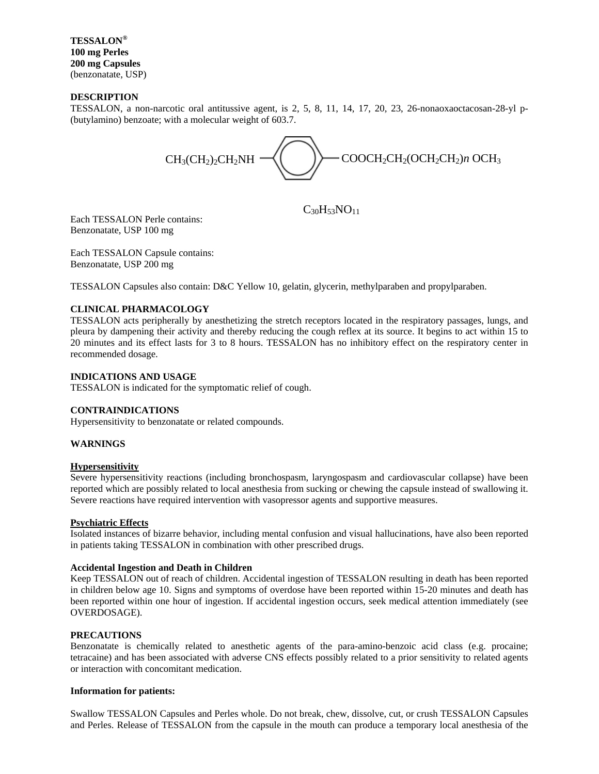**TESSALON® 100 mg Perles 200 mg Capsules** (benzonatate, USP)

### **DESCRIPTION**

TESSALON, a non-narcotic oral antitussive agent, is 2, 5, 8, 11, 14, 17, 20, 23, 26-nonaoxaoctacosan-28-yl p- (butylamino) benzoate; with a molecular weight of 603.7.



 $C_{30}H_{53}NO_{11}$ 

Each TESSALON Perle contains: Benzonatate, USP 100 mg

Each TESSALON Capsule contains: Benzonatate, USP 200 mg

TESSALON Capsules also contain: D&C Yellow 10, gelatin, glycerin, methylparaben and propylparaben.

#### **CLINICAL PHARMACOLOGY**

TESSALON acts peripherally by anesthetizing the stretch receptors located in the respiratory passages, lungs, and pleura by dampening their activity and thereby reducing the cough reflex at its source. It begins to act within 15 to 20 minutes and its effect lasts for 3 to 8 hours. TESSALON has no inhibitory effect on the respiratory center in recommended dosage.

#### **INDICATIONS AND USAGE**

TESSALON is indicated for the symptomatic relief of cough.

### **CONTRAINDICATIONS**

Hypersensitivity to benzonatate or related compounds.

#### **WARNINGS**

#### **Hypersensitivity**

Severe hypersensitivity reactions (including bronchospasm, laryngospasm and cardiovascular collapse) have been reported which are possibly related to local anesthesia from sucking or chewing the capsule instead of swallowing it. Severe reactions have required intervention with vasopressor agents and supportive measures.

#### **Psychiatric Effects**

Isolated instances of bizarre behavior, including mental confusion and visual hallucinations, have also been reported in patients taking TESSALON in combination with other prescribed drugs.

#### **Accidental Ingestion and Death in Children**

Keep TESSALON out of reach of children. Accidental ingestion of TESSALON resulting in death has been reported in children below age 10. Signs and symptoms of overdose have been reported within 15-20 minutes and death has been reported within one hour of ingestion. If accidental ingestion occurs, seek medical attention immediately (see OVERDOSAGE).

#### **PRECAUTIONS**

Benzonatate is chemically related to anesthetic agents of the para-amino-benzoic acid class (e.g. procaine; tetracaine) and has been associated with adverse CNS effects possibly related to a prior sensitivity to related agents or interaction with concomitant medication.

#### **Information for patients:**

Swallow TESSALON Capsules and Perles whole. Do not break, chew, dissolve, cut, or crush TESSALON Capsules and Perles. Release of TESSALON from the capsule in the mouth can produce a temporary local anesthesia of the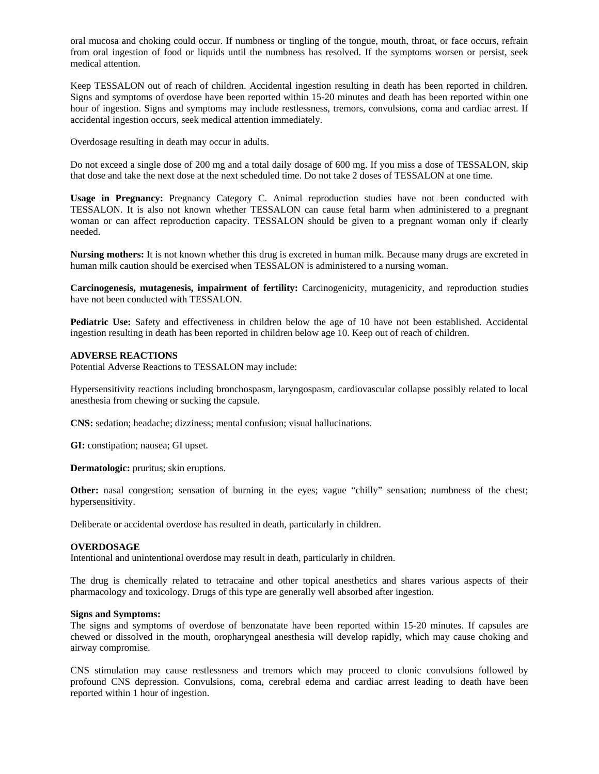oral mucosa and choking could occur. If numbness or tingling of the tongue, mouth, throat, or face occurs, refrain from oral ingestion of food or liquids until the numbness has resolved. If the symptoms worsen or persist, seek medical attention.

Keep TESSALON out of reach of children. Accidental ingestion resulting in death has been reported in children. Signs and symptoms of overdose have been reported within 15-20 minutes and death has been reported within one hour of ingestion. Signs and symptoms may include restlessness, tremors, convulsions, coma and cardiac arrest. If accidental ingestion occurs, seek medical attention immediately.

Overdosage resulting in death may occur in adults.

Do not exceed a single dose of 200 mg and a total daily dosage of 600 mg. If you miss a dose of TESSALON, skip that dose and take the next dose at the next scheduled time. Do not take 2 doses of TESSALON at one time.

**Usage in Pregnancy:** Pregnancy Category C. Animal reproduction studies have not been conducted with TESSALON. It is also not known whether TESSALON can cause fetal harm when administered to a pregnant woman or can affect reproduction capacity. TESSALON should be given to a pregnant woman only if clearly needed.

**Nursing mothers:** It is not known whether this drug is excreted in human milk. Because many drugs are excreted in human milk caution should be exercised when TESSALON is administered to a nursing woman.

**Carcinogenesis, mutagenesis, impairment of fertility:** Carcinogenicity, mutagenicity, and reproduction studies have not been conducted with TESSALON.

**Pediatric Use:** Safety and effectiveness in children below the age of 10 have not been established. Accidental ingestion resulting in death has been reported in children below age 10. Keep out of reach of children.

### **ADVERSE REACTIONS**

Potential Adverse Reactions to TESSALON may include:

Hypersensitivity reactions including bronchospasm, laryngospasm, cardiovascular collapse possibly related to local anesthesia from chewing or sucking the capsule.

**CNS:** sedation; headache; dizziness; mental confusion; visual hallucinations.

**GI:** constipation; nausea; GI upset.

**Dermatologic:** pruritus; skin eruptions.

**Other:** nasal congestion; sensation of burning in the eyes; vague "chilly" sensation; numbness of the chest; hypersensitivity.

Deliberate or accidental overdose has resulted in death, particularly in children.

#### **OVERDOSAGE**

Intentional and unintentional overdose may result in death, particularly in children.

The drug is chemically related to tetracaine and other topical anesthetics and shares various aspects of their pharmacology and toxicology. Drugs of this type are generally well absorbed after ingestion.

### **Signs and Symptoms:**

The signs and symptoms of overdose of benzonatate have been reported within 15-20 minutes. If capsules are chewed or dissolved in the mouth, oropharyngeal anesthesia will develop rapidly, which may cause choking and airway compromise.

CNS stimulation may cause restlessness and tremors which may proceed to clonic convulsions followed by profound CNS depression. Convulsions, coma, cerebral edema and cardiac arrest leading to death have been reported within 1 hour of ingestion.